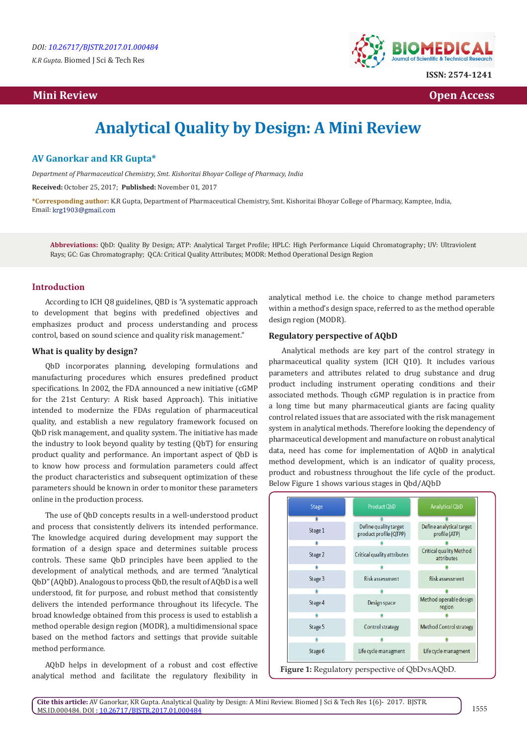*K.R Gupta.* Biomed J Sci & Tech Res

# **Mini Review Open Access**



# **Analytical Quality by Design: A Mini Review**

#### **AV Ganorkar and KR Gupta\***

*Department of Pharmaceutical Chemistry, Smt. Kishoritai Bhoyar College of Pharmacy, India*

**Received:** October 25, 2017; **Published:** November 01, 2017

**\*Corresponding author:** K.R Gupta, Department of Pharmaceutical Chemistry, Smt. Kishoritai Bhoyar College of Pharmacy, Kamptee, India, Email: krg1903@gmail.com

**Abbreviations:** QbD: Quality By Design; ATP: Analytical Target Profile; HPLC: High Performance Liquid Chromatography; UV: Ultraviolent Rays; GC: Gas Chromatography; QCA: Critical Quality Attributes; MODR: Method Operational Design Region

# **Introduction**

According to ICH Q8 guidelines, QBD is "A systematic approach to development that begins with predefined objectives and emphasizes product and process understanding and process control, based on sound science and quality risk management."

#### **What is quality by design?**

QbD incorporates planning, developing formulations and manufacturing procedures which ensures predefined product specifications. In 2002, the FDA announced a new initiative (cGMP for the 21st Century: A Risk based Approach). This initiative intended to modernize the FDAs regulation of pharmaceutical quality, and establish a new regulatory framework focused on QbD risk management, and quality system. The initiative has made the industry to look beyond quality by testing (QbT) for ensuring product quality and performance. An important aspect of QbD is to know how process and formulation parameters could affect the product characteristics and subsequent optimization of these parameters should be known in order to monitor these parameters online in the production process.

The use of QbD concepts results in a well-understood product and process that consistently delivers its intended performance. The knowledge acquired during development may support the formation of a design space and determines suitable process controls. These same QbD principles have been applied to the development of analytical methods, and are termed "Analytical QbD" (AQbD). Analogous to process QbD, the result of AQbD is a well understood, fit for purpose, and robust method that consistently delivers the intended performance throughout its lifecycle. The broad knowledge obtained from this process is used to establish a method operable design region (MODR), a multidimensional space based on the method factors and settings that provide suitable method performance.

AQbD helps in development of a robust and cost effective analytical method and facilitate the regulatory flexibility in analytical method i.e. the choice to change method parameters within a method's design space, referred to as the method operable design region (MODR).

#### **Regulatory perspective of AQbD**

Analytical methods are key part of the control strategy in pharmaceutical quality system (ICH Q10). It includes various parameters and attributes related to drug substance and drug product including instrument operating conditions and their associated methods. Though cGMP regulation is in practice from a long time but many pharmaceutical giants are facing quality control related issues that are associated with the risk management system in analytical methods. Therefore looking the dependency of pharmaceutical development and manufacture on robust analytical data, need has come for implementation of AQbD in analytical method development, which is an indicator of quality process, product and robustness throughout the life cycle of the product. Below Figure 1 shows various stages in Qbd/AQbD

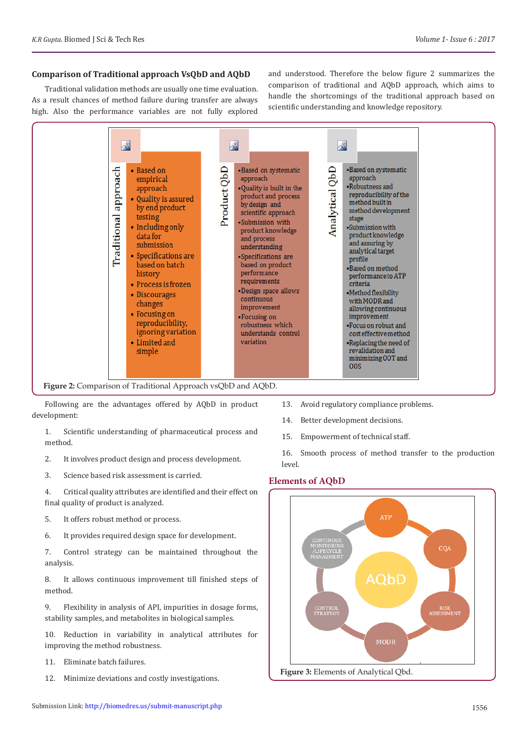#### **Comparison of Traditional approach VsQbD and AQbD**

Traditional validation methods are usually one time evaluation. As a result chances of method failure during transfer are always high. Also the performance variables are not fully explored

and understood. Therefore the below figure 2 summarizes the comparison of traditional and AQbD approach, which aims to handle the shortcomings of the traditional approach based on scientific understanding and knowledge repository.



**Figure 2:** Comparison of Traditional Approach vsQbD and AQbD.

Following are the advantages offered by AQbD in product development:

1. Scientific understanding of pharmaceutical process and method.

- 2. It involves product design and process development.
- 3. Science based risk assessment is carried.

4. Critical quality attributes are identified and their effect on final quality of product is analyzed.

- 5. It offers robust method or process.
- 6. It provides required design space for development.

7. Control strategy can be maintained throughout the analysis.

8. It allows continuous improvement till finished steps of method.

9. Flexibility in analysis of API, impurities in dosage forms, stability samples, and metabolites in biological samples.

10. Reduction in variability in analytical attributes for improving the method robustness.

- 11. Eliminate batch failures.
- 12. Minimize deviations and costly investigations.
- 13. Avoid regulatory compliance problems.
- 14. Better development decisions.
- 15. Empowerment of technical staff.

16. Smooth process of method transfer to the production level.

#### **Elements of AQbD**

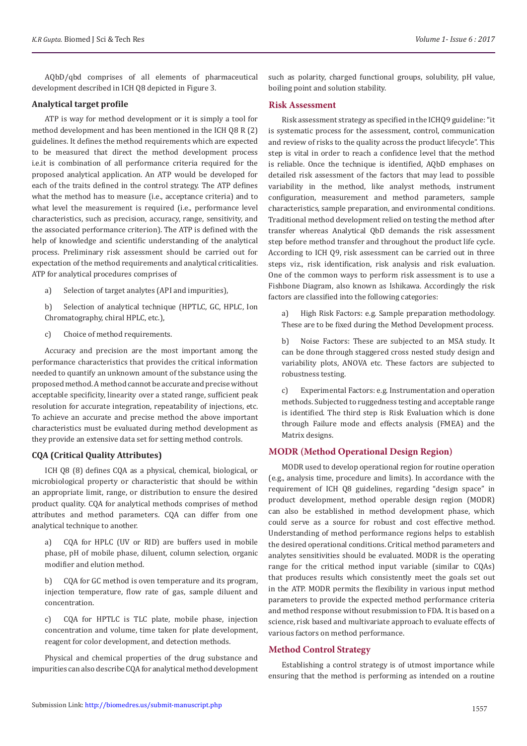AQbD/qbd comprises of all elements of pharmaceutical development described in ICH Q8 depicted in Figure 3.

#### **Analytical target profile**

ATP is way for method development or it is simply a tool for method development and has been mentioned in the ICH Q8 R (2) guidelines. It defines the method requirements which are expected to be measured that direct the method development process i.e.it is combination of all performance criteria required for the proposed analytical application. An ATP would be developed for each of the traits defined in the control strategy. The ATP defines what the method has to measure (i.e., acceptance criteria) and to what level the measurement is required (i.e., performance level characteristics, such as precision, accuracy, range, sensitivity, and the associated performance criterion). The ATP is defined with the help of knowledge and scientific understanding of the analytical process. Preliminary risk assessment should be carried out for expectation of the method requirements and analytical criticalities. ATP for analytical procedures comprises of

- a) Selection of target analytes (API and impurities),
- b) Selection of analytical technique (HPTLC, GC, HPLC, Ion Chromatography, chiral HPLC, etc.),
- c) Choice of method requirements.

Accuracy and precision are the most important among the performance characteristics that provides the critical information needed to quantify an unknown amount of the substance using the proposed method. A method cannot be accurate and precise without acceptable specificity, linearity over a stated range, sufficient peak resolution for accurate integration, repeatability of injections, etc. To achieve an accurate and precise method the above important characteristics must be evaluated during method development as they provide an extensive data set for setting method controls.

#### **CQA (Critical Quality Attributes)**

ICH Q8 (8) defines CQA as a physical, chemical, biological, or microbiological property or characteristic that should be within an appropriate limit, range, or distribution to ensure the desired product quality. CQA for analytical methods comprises of method attributes and method parameters. CQA can differ from one analytical technique to another.

a) CQA for HPLC (UV or RID) are buffers used in mobile phase, pH of mobile phase, diluent, column selection, organic modifier and elution method.

b) CQA for GC method is oven temperature and its program, injection temperature, flow rate of gas, sample diluent and concentration.

c) CQA for HPTLC is TLC plate, mobile phase, injection concentration and volume, time taken for plate development, reagent for color development, and detection methods.

Physical and chemical properties of the drug substance and impurities can also describe CQA for analytical method development such as polarity, charged functional groups, solubility, pH value, boiling point and solution stability.

#### **Risk Assessment**

Risk assessment strategy as specified in the ICHQ9 guideline: "it is systematic process for the assessment, control, communication and review of risks to the quality across the product lifecycle". This step is vital in order to reach a confidence level that the method is reliable. Once the technique is identified, AQbD emphases on detailed risk assessment of the factors that may lead to possible variability in the method, like analyst methods, instrument configuration, measurement and method parameters, sample characteristics, sample preparation, and environmental conditions. Traditional method development relied on testing the method after transfer whereas Analytical QbD demands the risk assessment step before method transfer and throughout the product life cycle. According to ICH Q9, risk assessment can be carried out in three steps viz., risk identification, risk analysis and risk evaluation. One of the common ways to perform risk assessment is to use a Fishbone Diagram, also known as Ishikawa. Accordingly the risk factors are classified into the following categories:

a) High Risk Factors: e.g. Sample preparation methodology. These are to be fixed during the Method Development process.

b) Noise Factors: These are subjected to an MSA study. It can be done through staggered cross nested study design and variability plots, ANOVA etc. These factors are subjected to robustness testing.

c) Experimental Factors: e.g. Instrumentation and operation methods. Subjected to ruggedness testing and acceptable range is identified. The third step is Risk Evaluation which is done through Failure mode and effects analysis (FMEA) and the Matrix designs.

# **MODR (Method Operational Design Region)**

MODR used to develop operational region for routine operation (e.g., analysis time, procedure and limits). In accordance with the requirement of ICH Q8 guidelines, regarding "design space" in product development, method operable design region (MODR) can also be established in method development phase, which could serve as a source for robust and cost effective method. Understanding of method performance regions helps to establish the desired operational conditions. Critical method parameters and analytes sensitivities should be evaluated. MODR is the operating range for the critical method input variable (similar to CQAs) that produces results which consistently meet the goals set out in the ATP. MODR permits the flexibility in various input method parameters to provide the expected method performance criteria and method response without resubmission to FDA. It is based on a science, risk based and multivariate approach to evaluate effects of various factors on method performance.

#### **Method Control Strategy**

Establishing a control strategy is of utmost importance while ensuring that the method is performing as intended on a routine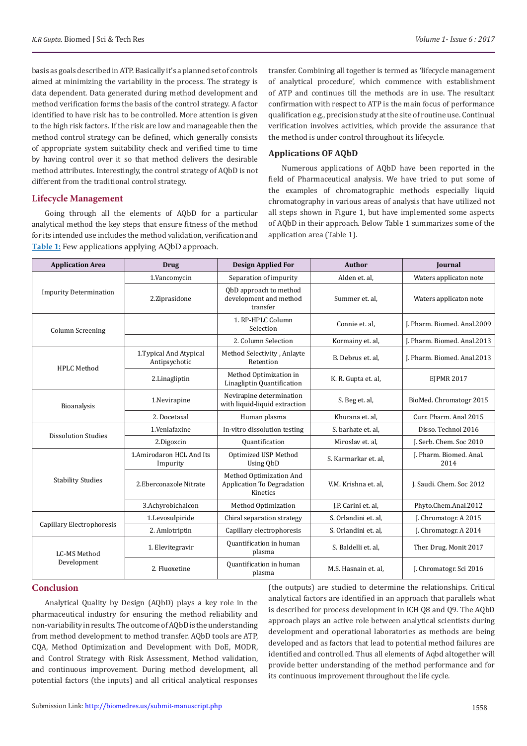basis as goals described in ATP. Basically it's a planned set of controls aimed at minimizing the variability in the process. The strategy is data dependent. Data generated during method development and method verification forms the basis of the control strategy. A factor identified to have risk has to be controlled. More attention is given to the high risk factors. If the risk are low and manageable then the method control strategy can be defined, which generally consists of appropriate system suitability check and verified time to time by having control over it so that method delivers the desirable method attributes. Interestingly, the control strategy of AQbD is not different from the traditional control strategy.

#### **Lifecycle Management**

Going through all the elements of AQbD for a particular analytical method the key steps that ensure fitness of the method for its intended use includes the method validation, verification and **Table 1:** Few applications applying AQbD approach.

transfer. Combining all together is termed as 'lifecycle management of analytical procedure', which commence with establishment of ATP and continues till the methods are in use. The resultant confirmation with respect to ATP is the main focus of performance qualification e.g., precision study at the site of routine use. Continual verification involves activities, which provide the assurance that the method is under control throughout its lifecycle.

# **Applications OF AQbD**

Numerous applications of AQbD have been reported in the field of Pharmaceutical analysis. We have tried to put some of the examples of chromatographic methods especially liquid chromatography in various areas of analysis that have utilized not all steps shown in Figure 1, but have implemented some aspects of AQbD in their approach. Below Table 1 summarizes some of the application area (Table 1).

| <b>Application Area</b>            | <b>Drug</b>                              | <b>Design Applied For</b>                                         | <b>Author</b>        | <b>Journal</b>                  |
|------------------------------------|------------------------------------------|-------------------------------------------------------------------|----------------------|---------------------------------|
| <b>Impurity Determination</b>      | 1.Vancomycin                             | Separation of impurity                                            | Alden et. al,        | Waters applicaton note          |
|                                    | 2.Ziprasidone                            | QbD approach to method<br>development and method<br>transfer      | Summer et. al,       | Waters applicaton note          |
| <b>Column Screening</b>            |                                          | 1. RP-HPLC Column<br>Selection                                    | Connie et. al,       | J. Pharm. Biomed. Anal.2009     |
|                                    |                                          | 2. Column Selection                                               | Kormainy et. al,     | J. Pharm. Biomed. Anal.2013     |
| <b>HPLC</b> Method                 | 1. Typical And Atypical<br>Antipsychotic | Method Selectivity, Anlayte<br>Retention                          | B. Debrus et. al.    | J. Pharm. Biomed. Anal.2013     |
|                                    | 2.Linagliptin                            | Method Optimization in<br>Linagliptin Quantification              | K. R. Gupta et. al,  | <b>EIPMR 2017</b>               |
| <b>Bioanalysis</b>                 | 1.Nevirapine                             | Nevirapine determination<br>with liquid-liquid extraction         | S. Beg et. al,       | BioMed. Chromatogr 2015         |
|                                    | 2. Docetaxal                             | Human plasma                                                      | Khurana et. al.      | Curr. Pharm. Anal 2015          |
| <b>Dissolution Studies</b>         | 1.Venlafaxine                            | In-vitro dissolution testing                                      | S. barhate et. al.   | Disso. Technol 2016             |
|                                    | 2.Digoxcin                               | <b>Quantification</b>                                             | Miroslav et. al,     | J. Serb. Chem. Soc 2010         |
| <b>Stability Studies</b>           | 1.Amirodaron HCL And Its<br>Impurity     | Optimized USP Method<br>Using QbD                                 | S. Karmarkar et. al, | J. Pharm. Biomed. Anal.<br>2014 |
|                                    | 2. Eberconazole Nitrate                  | Method Optimization And<br>Application To Degradation<br>Kinetics | V.M. Krishna et. al, | J. Saudi. Chem. Soc 2012        |
|                                    | 3.Achyrobichalcon                        | Method Optimization                                               | J.P. Carini et. al,  | Phyto.Chem.Anal.2012            |
| Capillary Electrophoresis          | 1.Levosulpiride                          | Chiral separation strategy                                        | S. Orlandini et. al. | J. Chromatogr. A 2015           |
|                                    | 2. Amlotriptin                           | Capillary electrophoresis                                         | S. Orlandini et. al. | J. Chromatogr. A 2014           |
| <b>LC-MS Method</b><br>Development | 1. Elevitegravir                         | Quantification in human<br>plasma                                 | S. Baldelli et. al,  | Ther. Drug. Monit 2017          |
|                                    | 2. Fluoxetine                            | Quantification in human<br>plasma                                 | M.S. Hasnain et. al. | J. Chromatogr. Sci 2016         |

#### **Conclusion**

Analytical Quality by Design (AQbD) plays a key role in the pharmaceutical industry for ensuring the method reliability and non-variability in results. The outcome of AQbD is the understanding from method development to method transfer. AQbD tools are ATP, CQA, Method Optimization and Development with DoE, MODR, and Control Strategy with Risk Assessment, Method validation, and continuous improvement. During method development, all potential factors (the inputs) and all critical analytical responses

(the outputs) are studied to determine the relationships. Critical analytical factors are identified in an approach that parallels what is described for process development in ICH Q8 and Q9. The AQbD approach plays an active role between analytical scientists during development and operational laboratories as methods are being developed and as factors that lead to potential method failures are identified and controlled. Thus all elements of Aqbd altogether will provide better understanding of the method performance and for its continuous improvement throughout the life cycle.